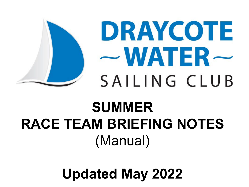

DRAYCOTE  $-WATER-$ SAILING CLUB

# **SUMMER RACE TEAM BRIEFING NOTES** (Manual)

**Updated May 2022**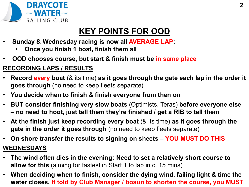

## **KEY POINTS FOR OOD**

- **Sunday & Wednesday racing is now all AVERAGE LAP:** 
	- **Once you finish 1 boat, finish them all**
- **OOD chooses course, but start & finish must be in same place**

### **RECORDING LAPS / RESULTS**

- **Record every boat** (& its time) **as it goes through the gate each lap in the order it goes through** (no need to keep fleets separate)
- **You decide when to finish & finish everyone from then on**
- **BUT consider finishing very slow boats** (Optimists, Teras) **before everyone else – no need to hoot, just tell them they're finished / get a RIB to tell them**
- **At the finish just keep recording every boat** (& its time) **as it goes through the gate in the order it goes through** (no need to keep fleets separate)
- **On shore transfer the results to signing on sheets – YOU MUST DO THIS WEDNESDAYS**
- **The wind often dies in the evening: Need to set a relatively short course to allow for this** (aiming for fastest in Start 1 to lap in c. 15 mins)
- **When deciding when to finish, consider the dying wind, failing light & time the water closes. If told by Club Manager / bosun to shorten the course, you MUST**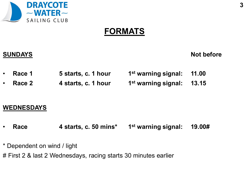

### **FORMATS**

**SUNDAYS** Not before

| $\cdot$ Race 1 | 5 starts, c. 1 hour | 1st warning signal: 11.00 |  |
|----------------|---------------------|---------------------------|--|
|                |                     |                           |  |

• **Race 2 4 starts, c. 1 hour 1st warning signal: 13.15**

### **WEDNESDAYS**

- **Race 4 starts, c. 50 mins\* 1st warning signal: 19.00#**
- \* Dependent on wind / light
- # First 2 & last 2 Wednesdays, racing starts 30 minutes earlier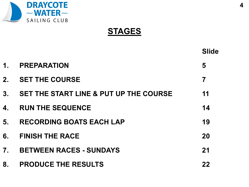

**STAGES**

|                |                                                   | <b>Slide</b> |
|----------------|---------------------------------------------------|--------------|
| $\mathbf 1$ .  | <b>PREPARATION</b>                                | 5            |
| 2.             | <b>SET THE COURSE</b>                             | 7            |
| 3 <sub>1</sub> | <b>SET THE START LINE &amp; PUT UP THE COURSE</b> | 11           |
| 4.             | <b>RUN THE SEQUENCE</b>                           | 14           |
| 5.             | <b>RECORDING BOATS EACH LAP</b>                   | 19           |
| 6.             | <b>FINISH THE RACE</b>                            | 20           |
| 7 <sub>1</sub> | <b>BETWEEN RACES - SUNDAYS</b>                    | 21           |
| 8.             | <b>PRODUCE THE RESULTS</b>                        | 22           |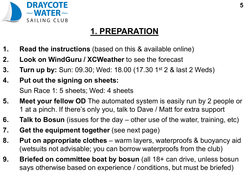

## **1. PREPARATION**

- **1. Read the instructions** (based on this & available online)
- **2. Look on WindGuru / XCWeather** to see the forecast
- **3. Turn up by:** Sun: 09.30; Wed: 18.00 (17.30 1st 2 & last 2 Weds)
- **4. Put out the signing on sheets:**

Sun Race 1: 5 sheets; Wed: 4 sheets

- **5. Meet your fellow OD** The automated system is easily run by 2 people or 1 at a pinch. If there's only you, talk to Dave / Matt for extra support
- **6. Talk to Bosun** (issues for the day other use of the water, training, etc)
- **7. Get the equipment together** (see next page)
- **8.** Put on appropriate clothes warm layers, waterproofs & buoyancy aid (wetsuits not advisable; you can borrow waterproofs from the club)
- **9. Briefed on committee boat by bosun** (all 18+ can drive, unless bosun says otherwise based on experience / conditions, but must be briefed)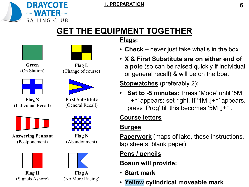

#### **1. PREPARATION 6**

### **GET THE EQUIPMENT TOGETHER Flags:**





**Green** (On Station)





**Answering Pennant** (Postponement)



**Flag H** (Signals Ashore)

**Flag L**

(Change of course)



**First Substitute** (General Recall)



**Flag N** (Abandonment)



**Flag A** (No More Racing)

### • **Check –** never just take what's in the box

• **X & First Substitute are on either end of a pole** (so can be raised quickly if individual or general recall) & will be on the boat

**Stopwatches** (preferably 2)**:**

• **Set to -5 minutes:** Press 'Mode' until '5M ↓+↑' appears: set right. If '1M ↓+↑' appears, press 'Prog' till this becomes '5M ↓+↑'.

### **Course letters**

### **Burgee**

**Paperwork** (maps of lake, these instructions, lap sheets, blank paper)

### **Pens / pencils**

**Bosun will provide:**

- **Start mark**
- **Yellow cylindrical moveable mark**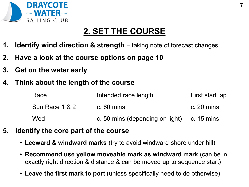

## **2. SET THE COURSE**

- **1. Identify wind direction & strength** taking note of forecast changes
- **2. Have a look at the course options on page 10**
- **3. Get on the water early**
- **4. Think about the length of the course**

| Race           | Intended race length                       | First start lap      |  |
|----------------|--------------------------------------------|----------------------|--|
| Sun Race 1 & 2 | $c.60$ mins                                | c. $20 \text{ mins}$ |  |
| Wed            | c. 50 mins (depending on light) c. 15 mins |                      |  |

- **5. Identify the core part of the course**
	- **Leeward & windward marks** (try to avoid windward shore under hill)
	- **Recommend use yellow moveable mark as windward mark** (can be in exactly right direction & distance & can be moved up to sequence start)
	- **Leave the first mark to port** (unless specifically need to do otherwise)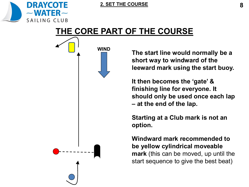

#### **2. SET THE COURSE**

### **THE CORE PART OF THE COURSE**



**The start line would normally be a short way to windward of the leeward mark using the start buoy.** 

**It then becomes the 'gate' & finishing line for everyone. It should only be used once each lap – at the end of the lap.**

**Starting at a Club mark is not an option.** 

**Windward mark recommended to be yellow cylindrical moveable mark** (this can be moved, up until the start sequence to give the best beat)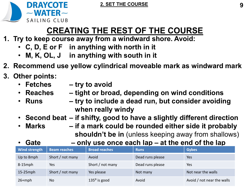



## **CREATING THE REST OF THE COURSE**

- **1. Try to keep course away from a windward shore. Avoid:**
	- **C, D, E or F in anything with north in it**
	- **M, K, OL, J in anything with south in it**
- **2. Recommend use yellow cylindrical moveable mark as windward mark**
- **3. Other points:** 
	- **Fetches – try to avoid**
	- **Reaches – tight or broad, depending on wind conditions**
	- **Runs – try to include a dead run, but consider avoiding when really windy**
	- **Second beat – if shifty, good to have a slightly different direction**
	- **Marks – if a mark could be rounded either side it probably shouldn't be in** (unless keeping away from shallows)
		- **Gate – only use once each lap – at the end of the lap**

| <b>Wind strength</b> | <b>Beam reaches</b> | <b>Broad reaches</b>  | <b>Runs</b>      | <b>Gybes</b>               |
|----------------------|---------------------|-----------------------|------------------|----------------------------|
| Up to 8mph           | Short / not many    | Avoid                 | Dead runs please | Yes                        |
| $8-15$ mph           | Yes                 | Short / not many      | Dead runs please | Yes                        |
| $15-25$ mph          | Short / not many    | Yes please            | Not many         | Not near the walls         |
| $26+mph$             | No.                 | $135^{\circ}$ is good | Avoid            | Avoid / not near the walls |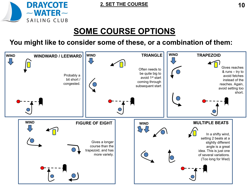

## **SOME COURSE OPTIONS**

### **You might like to consider some of these, or a combination of them:**

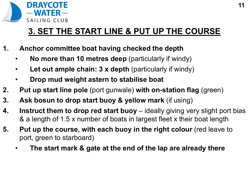

## **3. SET THE START LINE & PUT UP THE COURSE**

- **1. Anchor committee boat having checked the depth**
	- **No more than 10 metres deep** (particularly if windy)
	- **Let out ample chain: 3 x depth** (particularly if windy)
	- **Drop mud weight astern to stabilise boat**
- **2. Put up start line pole** (port gunwale) **with on-station flag** (green)
- **3. Ask bosun to drop start buoy & yellow mark** (if using)
- **4. Instruct them to drop red start buoy** ideally giving very slight port bias & a length of 1.5 x number of boats in largest fleet x their boat length
- **5. Put up the course, with each buoy in the right colour** (red leave to port, green to starboard)
	- **The start mark & gate at the end of the lap are already there**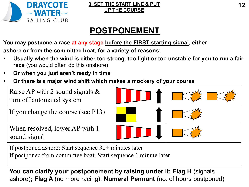

### **3. SET THE START LINE & PUT 12 UP THE COURSE**

## **POSTPONEMENT**

**You may postpone a race at any stage before the FIRST starting signal, either** 

**ashore or from the committee boat, for a variety of reasons:**

- **Usually when the wind is either too strong, too light or too unstable for you to run a fair race** (you would often do this onshore)
- **Or when you just aren't ready in time**
- **Or there is a major wind shift which makes a mockery of your course**



If postponed from committee boat: Start sequence 1 minute later

**You can clarify your postponement by raising under it: Flag H** (signals ashore)**; Flag A** (no more racing); **Numeral Pennant** (no. of hours postponed)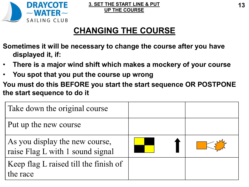

## **CHANGING THE COURSE**

- **Sometimes it will be necessary to change the course after you have displayed it, if:**
- **There is a major wind shift which makes a mockery of your course**
- **You spot that you put the course up wrong**
- **You must do this BEFORE you start the start sequence OR POSTPONE the start sequence to do it**

| Take down the original course                                      |  |
|--------------------------------------------------------------------|--|
| Put up the new course                                              |  |
| As you display the new course,<br>raise Flag L with 1 sound signal |  |
| Keep flag L raised till the finish of<br>the race                  |  |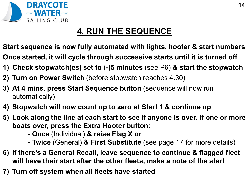

## **4. RUN THE SEQUENCE**

**Start sequence is now fully automated with lights, hooter & start numbers**

- **Once started, it will cycle through successive starts until it is turned off**
- **1) Check stopwatch(es) set to (-)5 minutes** (see P6) **& start the stopwatch**
- **2) Turn on Power Switch** (before stopwatch reaches 4.30)
- **3) At 4 mins, press Start Sequence button** (sequence will now run automatically)
- **4) Stopwatch will now count up to zero at Start 1 & continue up**
- **5) Look along the line at each start to see if anyone is over. If one or more boats over, press the Extra Hooter button:**
	- **- Once** (Individual) **& raise Flag X or**
	- **- Twice** (General) **& First Substitute** (see page 17 for more details)
- **6) If there's a General Recall, leave sequence to continue & flagged fleet will have their start after the other fleets, make a note of the start**
- **7) Turn off system when all fleets have started**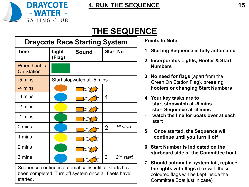

### **4. RUN THE SEQUENCE 15**

## **THE SEQUENCE**

| <b>Draycote Race Starting System</b>                                                                                       |                 |                            |                 |             |  |  |
|----------------------------------------------------------------------------------------------------------------------------|-----------------|----------------------------|-----------------|-------------|--|--|
| <b>Time</b>                                                                                                                | Light<br>(Flag) | <b>Sound</b>               | <b>Start No</b> |             |  |  |
| When boat is<br><b>On Station</b>                                                                                          |                 |                            |                 |             |  |  |
| -5 mins                                                                                                                    |                 | Start stopwatch at -5 mins |                 |             |  |  |
| -4 mins                                                                                                                    |                 |                            |                 |             |  |  |
| -3 mins                                                                                                                    |                 |                            |                 |             |  |  |
| -2 mins                                                                                                                    |                 |                            |                 |             |  |  |
| -1 mins                                                                                                                    |                 |                            |                 |             |  |  |
| $0 \text{ mins}$                                                                                                           |                 |                            | $\overline{2}$  | 1st start   |  |  |
| 1 mins                                                                                                                     |                 |                            |                 |             |  |  |
| 2 mins                                                                                                                     |                 |                            |                 |             |  |  |
| 3 mins                                                                                                                     |                 |                            | 3               | $2nd$ start |  |  |
| Sequence continues automatically until all starts have<br>been completed. Turn off system once all fleets have<br>started. |                 |                            |                 |             |  |  |

**Points to Note:**

- **1. Starting Sequence is fully automated**
- **2. Incorporates Lights, Hooter & Start Numbers**
- **3. No need for flags** (apart from the Green On Station Flag)**, pressing hooters or changing Start Numbers**
- **4. Your key tasks are to**
- start stopwatch at -5 mins
- **start Sequence at -4 mins**
- watch the line for boats over at each **start**
- **5. Once started, the Sequence will continue until you turn it off**
- **6. Start Number is indicated on the starboard side of the Committee boat**
- **7. Should automatic system fail, replace the lights with flags** (box with these coloured flags will be kept inside the Committee Boat just in case)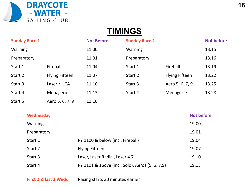

### **TIMINGS**

| <b>Sunday Race 1</b> |                       | <b>Not Before</b> | <b>Sunday Race 2</b> |                       | <b>Not before</b> |
|----------------------|-----------------------|-------------------|----------------------|-----------------------|-------------------|
| <b>Warning</b>       |                       | 11.00             | Warning              |                       | 13.15             |
| Preparatory          |                       | 11.01             | Preparatory          |                       | 13.16             |
| Start 1              | Fireball              | 11.04             | Start 1              | Fireball              | 13.19             |
| Start 2              | <b>Flying Fifteen</b> | 11.07             | Start 2              | <b>Flying Fifteen</b> | 13.22             |
| Start 3              | Laser / ILCA          | 11.10             | Start 3              | Aero 5, 6, 7, 9       | 13.25             |
| Start 4              | Menagerie             | 11.13             | Start 4              | Menagerie             | 13.28             |
| Start 5              | Aero 5, 6, 7, 9       | 11.16             |                      |                       |                   |

| Wednesday      |                                                 | <b>Not before</b> |
|----------------|-------------------------------------------------|-------------------|
| <b>Warning</b> |                                                 | 19.00             |
| Preparatory    |                                                 | 19.01             |
| Start 1        | PY 1100 & below (incl. Fireball)                | 19.04             |
| Start 2        | <b>Flying Fifteen</b>                           | 19.07             |
| Start 3        | Laser, Laser Radial, Laser 4.7                  | 19.10             |
| Start 4        | PY 1101 & above (incl. Solo), Aeros (5, 6, 7,9) | 19.13             |
|                |                                                 |                   |

**First 2 & last 2 Weds** Racing starts 30 minutes earlier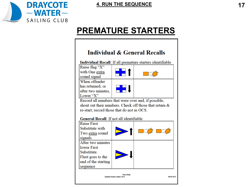

## **PREMATURE STARTERS**

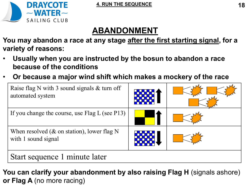



## **ABANDONMENT**

**You may abandon a race at any stage after the first starting signal, for a variety of reasons:**

- **Usually when you are instructed by the bosun to abandon a race because of the conditions**
- **Or because a major wind shift which makes a mockery of the race**



**You can clarify your abandonment by also raising Flag H** (signals ashore) **or Flag A** (no more racing)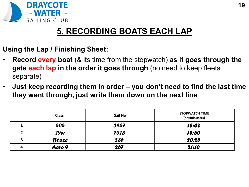

### **5. RECORDING BOATS EACH LAP**

- **Using the Lap / Finishing Sheet:**
- **Record every boat** (& its time from the stopwatch) **as it goes through the gate each lap in the order it goes through** (no need to keep fleets separate)
- **Just keep recording them in order – you don't need to find the last time they went through, just write them down on the next line**

|   | <b>Class</b> | Sail No | <b>STOPWATCH TIME</b><br>(hrs:mins:secs) |
|---|--------------|---------|------------------------------------------|
|   | 505          | 3967    | 18:02                                    |
|   | <b>29er</b>  | 7523    | 18:50                                    |
| 3 | Blaze        | 235     | 20:25                                    |
| Δ | Aero 9       | 267     | 21:10                                    |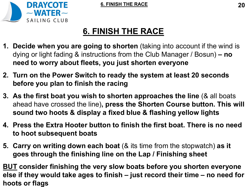



## **6. FINISH THE RACE**

- **1. Decide when you are going to shorten** (taking into account if the wind is dying or light fading & instructions from the Club Manager / Bosun) **– no need to worry about fleets, you just shorten everyone**
- **2. Turn on the Power Switch to ready the system at least 20 seconds before you plan to finish the racing**
- **3. As the first boat you wish to shorten approaches the line** (& all boats ahead have crossed the line)**, press the Shorten Course button. This will sound two hoots & display a fixed blue & flashing yellow lights**
- **4. Press the Extra Hooter button to finish the first boat. There is no need to hoot subsequent boats**
- **5. Carry on writing down each boat** (& its time from the stopwatch) **as it goes through the finishing line on the Lap / Finishing sheet**

**BUT consider finishing the very slow boats before you shorten everyone else if they would take ages to finish – just record their time – no need for hoots or flags**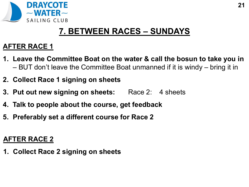

### **7. BETWEEN RACES – SUNDAYS**

### **AFTER RACE 1**

- **1. Leave the Committee Boat on the water & call the bosun to take you in**  – BUT don't leave the Committee Boat unmanned if it is windy – bring it in
- **2. Collect Race 1 signing on sheets**
- **3. Put out new signing on sheets:** Race 2: 4 sheets
- **4. Talk to people about the course, get feedback**
- **5. Preferably set a different course for Race 2**

### **AFTER RACE 2**

**1. Collect Race 2 signing on sheets**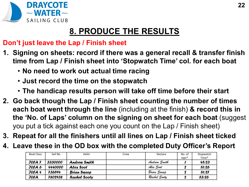

## **8. PRODUCE THE RESULTS**

### **Don't just leave the Lap / Finish sheet**

- **1. Signing on sheets: record if there was a general recall & transfer finish time from Lap / Finish sheet into 'Stopwatch Time' col. for each boat**
	- **No need to work out actual time racing**
	- **Just record the time on the stopwatch**
	- **The handicap results person will take off time before their start**
- **2. Go back though the Lap / Finish sheet counting the number of times each boat went through the line** (including at the finish) **& record this in the 'No. of Laps' column on the signing on sheet for each boat** (suggest you put a tick against each one you count on the Lap / Finish sheet)
- **3. Repeat for all the finishers until all lines on Lap / Finish sheet ticked**
- **4. Leave these in the OD box with the completed Duty Officer's Report**

| <b>Boat Class</b> | Sail No               | Helm             | Crew | Declare      | No. of  | Stopwatch |
|-------------------|-----------------------|------------------|------|--------------|---------|-----------|
|                   |                       |                  |      |              | $laps*$ | Time*     |
| $JLCA$ 7          | <i><b>3330000</b></i> | Andrew Smith     |      | Andrew Smith |         | 45:23     |
| <b>JICA</b> 6     | 4440000               | <b>Alex Soot</b> |      | Alex Soot    |         | 51:26     |
| JICA 4            | 736594                | Brian Sweep      |      | Brian Sweep  |         | 51:27     |
| <b>JLCA</b>       | 7802938               | Rachel Sooty     |      | Rachel Sooty |         | 53:26     |